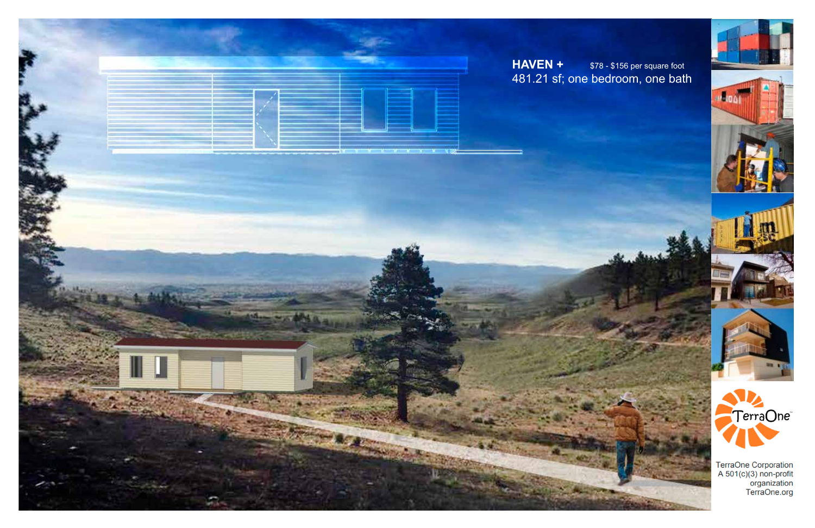





TerraOne Corporation<br>A 501(c)(3) non-profit<br>organization<br>TerraOne.org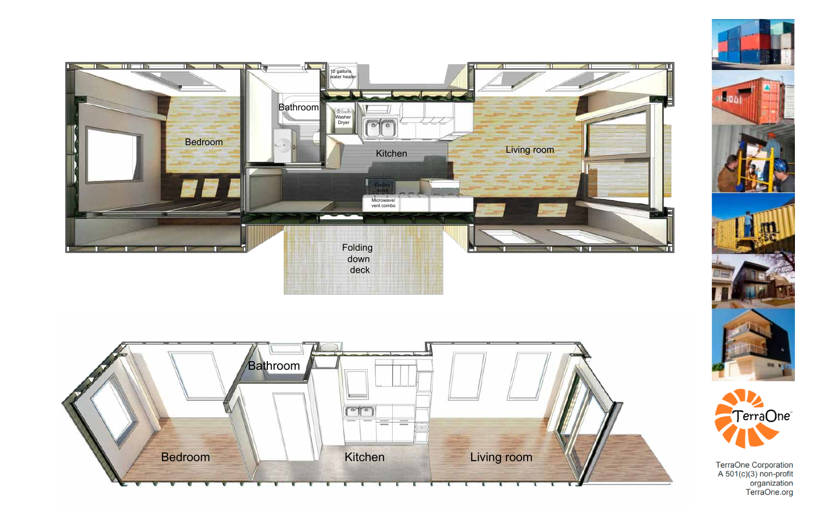





TerraOne Corporation<br>A 501(c)(3) non-profit<br>organization<br>TerraOne.org

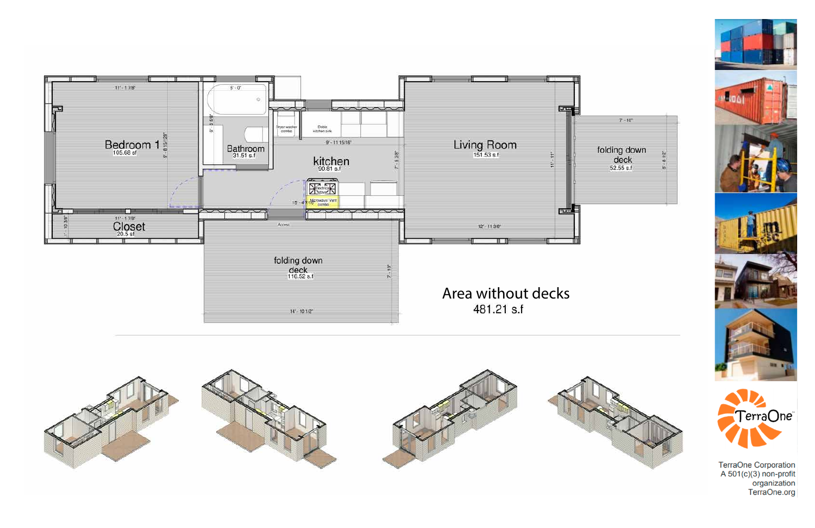







TerraOne Corporation<br>A 501(c)(3) non-profit<br>organization<br>TerraOne.org